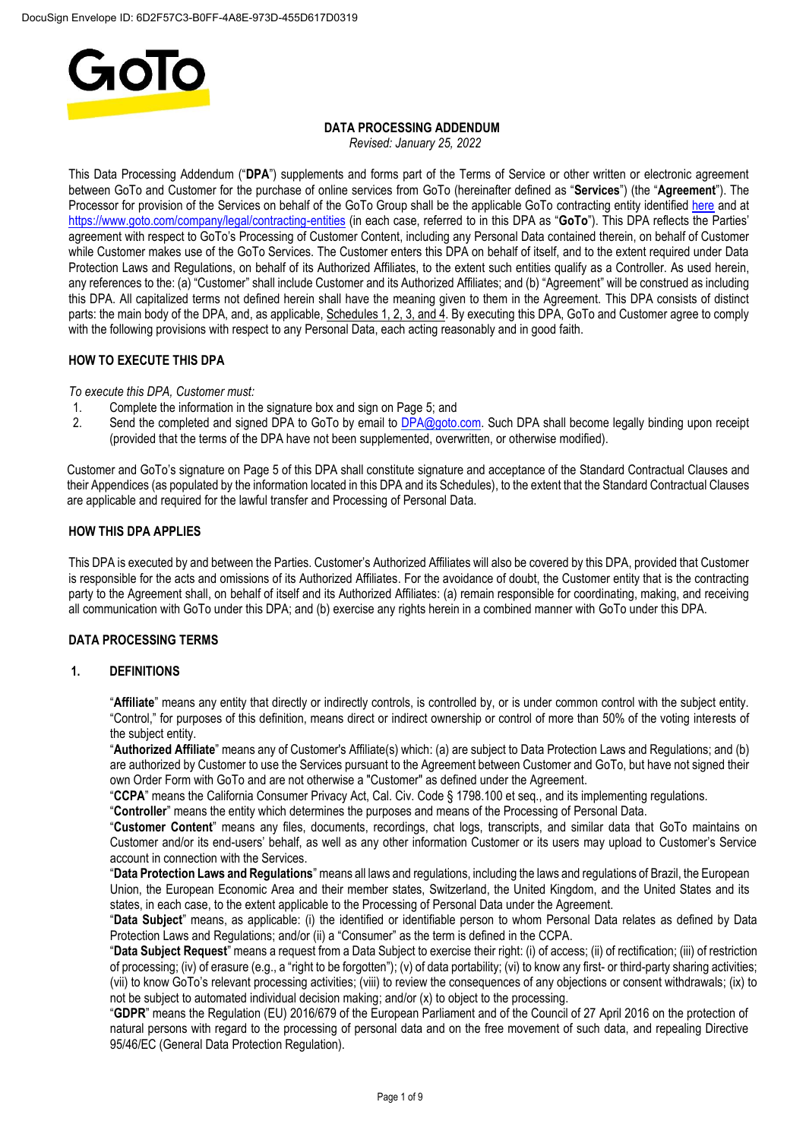

# **DATA PROCESSING ADDENDUM**

*Revised: January 25, 2022*

This Data Processing Addendum ("**DPA**") supplements and forms part of the Terms of Service or other written or electronic agreement between GoTo and Customer for the purchase of online services from GoTo (hereinafter defined as "**Services**") (the "**Agreement**"). The Processor for provision of the Services on behalf of the GoTo Group shall be the applicable GoTo contracting entity identified [here](https://www.goto.com/company/legal/contracting-entities) and at <https://www.goto.com/company/legal/contracting-entities> (in each case, referred to in this DPA as "**GoTo**"). This DPA reflects the Parties' agreement with respect to GoTo's Processing of Customer Content, including any Personal Data contained therein, on behalf of Customer while Customer makes use of the GoTo Services. The Customer enters this DPA on behalf of itself, and to the extent required under Data Protection Laws and Regulations, on behalf of its Authorized Affiliates, to the extent such entities qualify as a Controller. As used herein, any references to the: (a) "Customer" shall include Customer and its Authorized Affiliates; and (b) "Agreement" will be construed as including this DPA. All capitalized terms not defined herein shall have the meaning given to them in the Agreement. This DPA consists of distinct parts: the main body of the DPA, and, as applicable, Schedules 1, 2, 3, and 4. By executing this DPA, GoTo and Customer agree to comply with the following provisions with respect to any Personal Data, each acting reasonably and in good faith.

## **HOW TO EXECUTE THIS DPA**

*To execute this DPA, Customer must:*

- 1. Complete the information in the signature box and sign on Page 5; and 2. Send the completed and signed DPA to GoTo by email to DPA@goto.
- Send the completed and signed DPA to GoTo by email to [DPA@goto.com.](mailto:DPA@goto.com) Such DPA shall become legally binding upon receipt (provided that the terms of the DPA have not been supplemented, overwritten, or otherwise modified).

Customer and GoTo's signature on Page 5 of this DPA shall constitute signature and acceptance of the Standard Contractual Clauses and their Appendices (as populated by the information located in this DPA and its Schedules), to the extent that the Standard Contractual Clauses are applicable and required for the lawful transfer and Processing of Personal Data.

## **HOW THIS DPA APPLIES**

This DPA is executed by and between the Parties. Customer's Authorized Affiliates will also be covered by this DPA, provided that Customer is responsible for the acts and omissions of its Authorized Affiliates. For the avoidance of doubt, the Customer entity that is the contracting party to the Agreement shall, on behalf of itself and its Authorized Affiliates: (a) remain responsible for coordinating, making, and receiving all communication with GoTo under this DPA; and (b) exercise any rights herein in a combined manner with GoTo under this DPA.

## **DATA PROCESSING TERMS**

## **1. DEFINITIONS**

"**Affiliate**" means any entity that directly or indirectly controls, is controlled by, or is under common control with the subject entity. "Control," for purposes of this definition, means direct or indirect ownership or control of more than 50% of the voting interests of the subject entity.

"**Authorized Affiliate**" means any of Customer's Affiliate(s) which: (a) are subject to Data Protection Laws and Regulations; and (b) are authorized by Customer to use the Services pursuant to the Agreement between Customer and GoTo, but have not signed their own Order Form with GoTo and are not otherwise a "Customer" as defined under the Agreement.

"**CCPA**" means the California Consumer Privacy Act, Cal. Civ. Code § 1798.100 et seq., and its implementing regulations.

"**Controller**" means the entity which determines the purposes and means of the Processing of Personal Data.

"**Customer Content**" means any files, documents, recordings, chat logs, transcripts, and similar data that GoTo maintains on Customer and/or its end-users' behalf, as well as any other information Customer or its users may upload to Customer's Service account in connection with the Services.

"**Data Protection Laws and Regulations**" means all laws and regulations, including the laws and regulations of Brazil, the European Union, the European Economic Area and their member states, Switzerland, the United Kingdom, and the United States and its states, in each case, to the extent applicable to the Processing of Personal Data under the Agreement.

"**Data Subject**" means, as applicable: (i) the identified or identifiable person to whom Personal Data relates as defined by Data Protection Laws and Regulations; and/or (ii) a "Consumer" as the term is defined in the CCPA.

"**Data Subject Request**" means a request from a Data Subject to exercise their right: (i) of access; (ii) of rectification; (iii) of restriction of processing; (iv) of erasure (e.g., a "right to be forgotten"); (v) of data portability; (vi) to know any first- or third-party sharing activities; (vii) to know GoTo's relevant processing activities; (viii) to review the consequences of any objections or consent withdrawals; (ix) to not be subject to automated individual decision making; and/or (x) to object to the processing.

"**GDPR**" means the Regulation (EU) 2016/679 of the European Parliament and of the Council of 27 April 2016 on the protection of natural persons with regard to the processing of personal data and on the free movement of such data, and repealing Directive 95/46/EC (General Data Protection Regulation).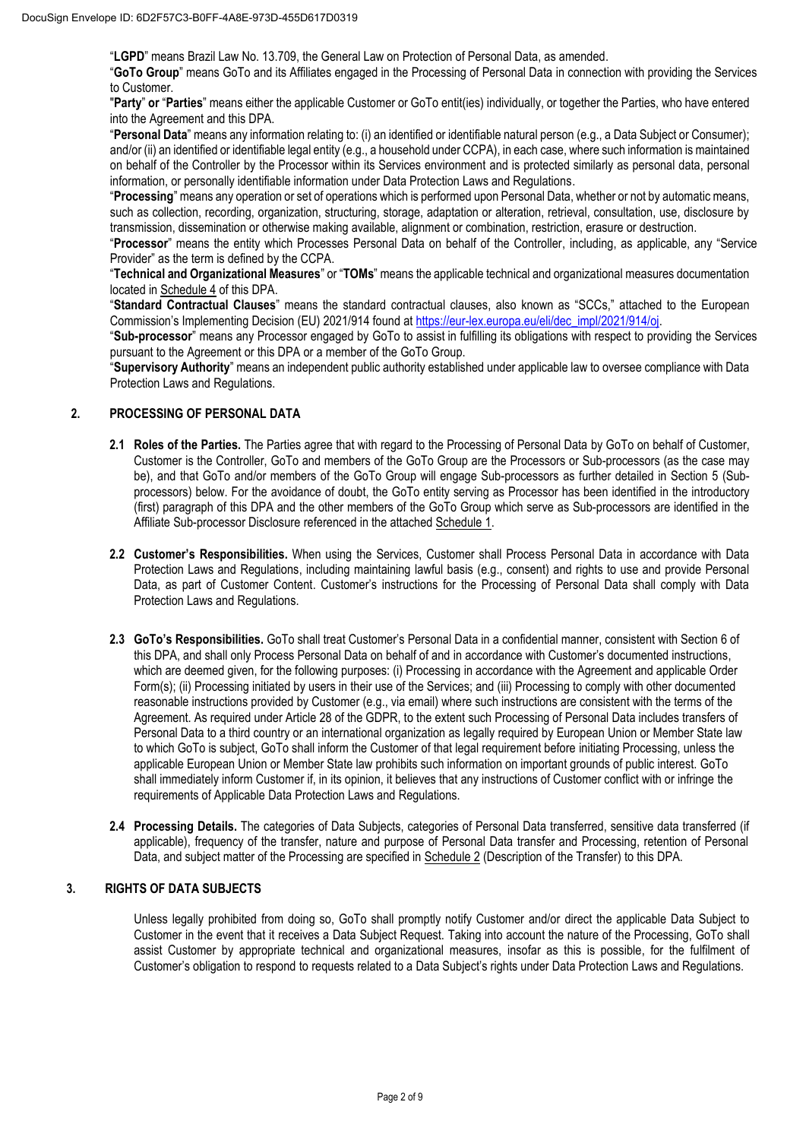"**LGPD**" means Brazil Law No. 13.709, the General Law on Protection of Personal Data, as amended.

"**GoTo Group**" means GoTo and its Affiliates engaged in the Processing of Personal Data in connection with providing the Services to Customer.

"**Party**" **or** "**Parties**" means either the applicable Customer or GoTo entit(ies) individually, or together the Parties, who have entered into the Agreement and this DPA.

"**Personal Data**" means any information relating to: (i) an identified or identifiable natural person (e.g., a Data Subject or Consumer); and/or (ii) an identified or identifiable legal entity (e.g., a household under CCPA), in each case, where such information is maintained on behalf of the Controller by the Processor within its Services environment and is protected similarly as personal data, personal information, or personally identifiable information under Data Protection Laws and Regulations.

"**Processing**" means any operation or set of operations which is performed upon Personal Data, whether or not by automatic means, such as collection, recording, organization, structuring, storage, adaptation or alteration, retrieval, consultation, use, disclosure by transmission, dissemination or otherwise making available, alignment or combination, restriction, erasure or destruction.

"**Processor**" means the entity which Processes Personal Data on behalf of the Controller, including, as applicable, any "Service Provider" as the term is defined by the CCPA.

"**Technical and Organizational Measures**" or "**TOMs**" means the applicable technical and organizational measures documentation located in Schedule 4 of this DPA.

"**Standard Contractual Clauses**" means the standard contractual clauses, also known as "SCCs," attached to the European Commission's Implementing Decision (EU) 2021/914 found a[t https://eur-lex.europa.eu/eli/dec\\_impl/2021/914/oj.](https://eur-lex.europa.eu/eli/dec_impl/2021/914/oj)

"**Sub-processor**" means any Processor engaged by GoTo to assist in fulfilling its obligations with respect to providing the Services pursuant to the Agreement or this DPA or a member of the GoTo Group.

"**Supervisory Authority**" means an independent public authority established under applicable law to oversee compliance with Data Protection Laws and Regulations.

## **2. PROCESSING OF PERSONAL DATA**

- **2.1 Roles of the Parties.** The Parties agree that with regard to the Processing of Personal Data by GoTo on behalf of Customer, Customer is the Controller, GoTo and members of the GoTo Group are the Processors or Sub-processors (as the case may be), and that GoTo and/or members of the GoTo Group will engage Sub-processors as further detailed in Section 5 (Subprocessors) below. For the avoidance of doubt, the GoTo entity serving as Processor has been identified in the introductory (first) paragraph of this DPA and the other members of the GoTo Group which serve as Sub-processors are identified in the Affiliate Sub-processor Disclosure referenced in the attached Schedule 1.
- **2.2 Customer's Responsibilities.** When using the Services, Customer shall Process Personal Data in accordance with Data Protection Laws and Regulations, including maintaining lawful basis (e.g., consent) and rights to use and provide Personal Data, as part of Customer Content. Customer's instructions for the Processing of Personal Data shall comply with Data Protection Laws and Regulations.
- **2.3 GoTo's Responsibilities.** GoTo shall treat Customer's Personal Data in a confidential manner, consistent with Section 6 of this DPA, and shall only Process Personal Data on behalf of and in accordance with Customer's documented instructions, which are deemed given, for the following purposes: (i) Processing in accordance with the Agreement and applicable Order Form(s); (ii) Processing initiated by users in their use of the Services; and (iii) Processing to comply with other documented reasonable instructions provided by Customer (e.g., via email) where such instructions are consistent with the terms of the Agreement. As required under Article 28 of the GDPR, to the extent such Processing of Personal Data includes transfers of Personal Data to a third country or an international organization as legally required by European Union or Member State law to which GoTo is subject, GoTo shall inform the Customer of that legal requirement before initiating Processing, unless the applicable European Union or Member State law prohibits such information on important grounds of public interest. GoTo shall immediately inform Customer if, in its opinion, it believes that any instructions of Customer conflict with or infringe the requirements of Applicable Data Protection Laws and Regulations.
- **2.4 Processing Details.** The categories of Data Subjects, categories of Personal Data transferred, sensitive data transferred (if applicable), frequency of the transfer, nature and purpose of Personal Data transfer and Processing, retention of Personal Data, and subject matter of the Processing are specified in Schedule 2 (Description of the Transfer) to this DPA.

### **3. RIGHTS OF DATA SUBJECTS**

Unless legally prohibited from doing so, GoTo shall promptly notify Customer and/or direct the applicable Data Subject to Customer in the event that it receives a Data Subject Request. Taking into account the nature of the Processing, GoTo shall assist Customer by appropriate technical and organizational measures, insofar as this is possible, for the fulfilment of Customer's obligation to respond to requests related to a Data Subject's rights under Data Protection Laws and Regulations.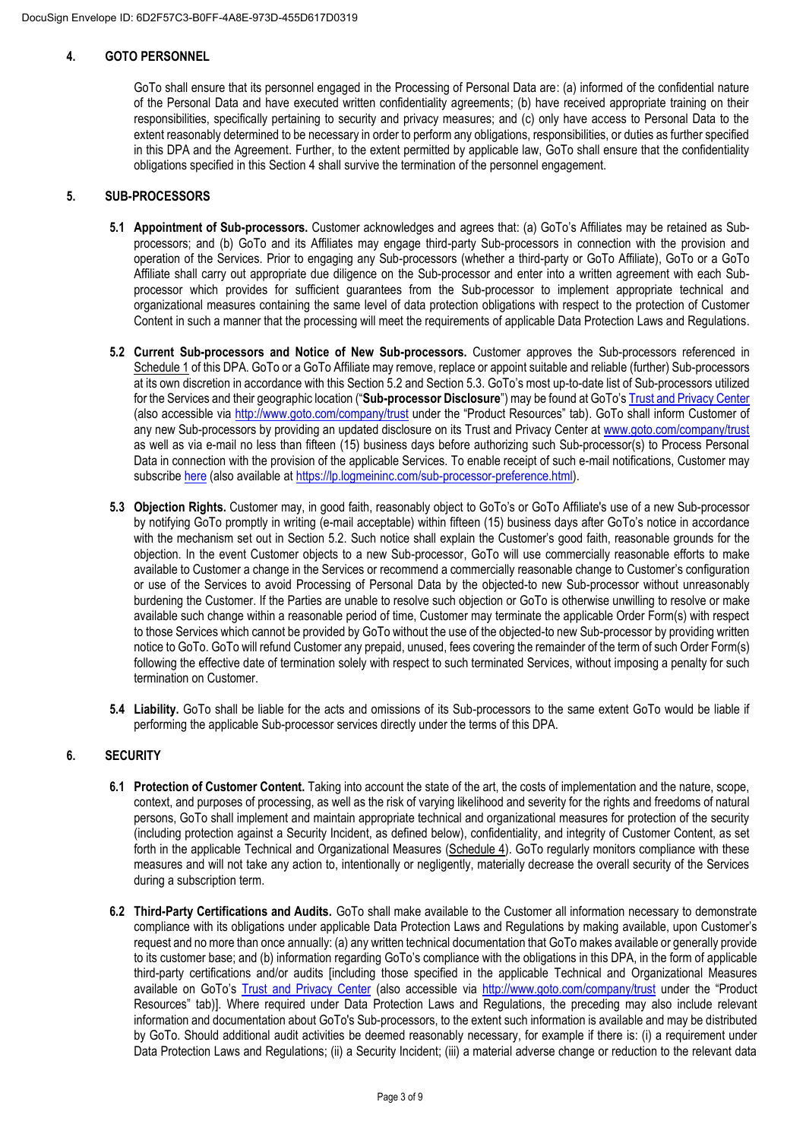## **4. GOTO PERSONNEL**

GoTo shall ensure that its personnel engaged in the Processing of Personal Data are: (a) informed of the confidential nature of the Personal Data and have executed written confidentiality agreements; (b) have received appropriate training on their responsibilities, specifically pertaining to security and privacy measures; and (c) only have access to Personal Data to the extent reasonably determined to be necessary in order to perform any obligations, responsibilities, or duties as further specified in this DPA and the Agreement. Further, to the extent permitted by applicable law, GoTo shall ensure that the confidentiality obligations specified in this Section 4 shall survive the termination of the personnel engagement.

## **5. SUB-PROCESSORS**

- **5.1 Appointment of Sub-processors.** Customer acknowledges and agrees that: (a) GoTo's Affiliates may be retained as Subprocessors; and (b) GoTo and its Affiliates may engage third-party Sub-processors in connection with the provision and operation of the Services. Prior to engaging any Sub-processors (whether a third-party or GoTo Affiliate), GoTo or a GoTo Affiliate shall carry out appropriate due diligence on the Sub-processor and enter into a written agreement with each Subprocessor which provides for sufficient guarantees from the Sub-processor to implement appropriate technical and organizational measures containing the same level of data protection obligations with respect to the protection of Customer Content in such a manner that the processing will meet the requirements of applicable Data Protection Laws and Regulations.
- **5.2 Current Sub-processors and Notice of New Sub-processors.** Customer approves the Sub-processors referenced in Schedule 1 of this DPA. GoTo or a GoTo Affiliate may remove, replace or appoint suitable and reliable (further) Sub-processors at its own discretion in accordance with this Section 5.2 and Section 5.3. GoTo's most up-to-date list of Sub-processors utilized for the Services and their geographic location ("**Sub-processor Disclosure**") may be found at GoTo's [Trust and Privacy Center](https://www.goto.com/company/trust) (also accessible via<http://www.goto.com/company/trust> under the "Product Resources" tab). GoTo shall inform Customer of any new Sub-processors by providing an updated disclosure on its Trust and Privacy Center at [www.goto.com/company/trust](http://www.goto.com/company/trust) as well as via e-mail no less than fifteen (15) business days before authorizing such Sub-processor(s) to Process Personal Data in connection with the provision of the applicable Services. To enable receipt of such e-mail notifications, Customer may subscrib[e here](https://lp.logmeininc.com/sub-processor-preference.html) (also available at [https://lp.logmeininc.com/sub-processor-preference.html\)](https://lp.logmeininc.com/sub-processor-preference.html).
- **5.3 Objection Rights.** Customer may, in good faith, reasonably object to GoTo's or GoTo Affiliate's use of a new Sub-processor by notifying GoTo promptly in writing (e-mail acceptable) within fifteen (15) business days after GoTo's notice in accordance with the mechanism set out in Section 5.2. Such notice shall explain the Customer's good faith, reasonable grounds for the objection. In the event Customer objects to a new Sub-processor, GoTo will use commercially reasonable efforts to make available to Customer a change in the Services or recommend a commercially reasonable change to Customer's configuration or use of the Services to avoid Processing of Personal Data by the objected-to new Sub-processor without unreasonably burdening the Customer. If the Parties are unable to resolve such objection or GoTo is otherwise unwilling to resolve or make available such change within a reasonable period of time, Customer may terminate the applicable Order Form(s) with respect to those Services which cannot be provided by GoTo without the use of the objected-to new Sub-processor by providing written notice to GoTo. GoTo will refund Customer any prepaid, unused, fees covering the remainder of the term of such Order Form(s) following the effective date of termination solely with respect to such terminated Services, without imposing a penalty for such termination on Customer.
- **5.4 Liability.** GoTo shall be liable for the acts and omissions of its Sub-processors to the same extent GoTo would be liable if performing the applicable Sub-processor services directly under the terms of this DPA.

## **6. SECURITY**

- **6.1 Protection of Customer Content.** Taking into account the state of the art, the costs of implementation and the nature, scope, context, and purposes of processing, as well as the risk of varying likelihood and severity for the rights and freedoms of natural persons, GoTo shall implement and maintain appropriate technical and organizational measures for protection of the security (including protection against a Security Incident, as defined below), confidentiality, and integrity of Customer Content, as set forth in the applicable Technical and Organizational Measures (Schedule 4). GoTo regularly monitors compliance with these measures and will not take any action to, intentionally or negligently, materially decrease the overall security of the Services during a subscription term.
- **6.2 Third-Party Certifications and Audits.** GoTo shall make available to the Customer all information necessary to demonstrate compliance with its obligations under applicable Data Protection Laws and Regulations by making available, upon Customer's request and no more than once annually: (a) any written technical documentation that GoTo makes available or generally provide to its customer base; and (b) information regarding GoTo's compliance with the obligations in this DPA, in the form of applicable third-party certifications and/or audits [including those specified in the applicable Technical and Organizational Measures available on GoTo's [Trust and Privacy Center](https://www.goto.com/company/trust) (also accessible via<http://www.goto.com/company/trust> under the "Product Resources" tab)]. Where required under Data Protection Laws and Regulations, the preceding may also include relevant information and documentation about GoTo's Sub-processors, to the extent such information is available and may be distributed by GoTo. Should additional audit activities be deemed reasonably necessary, for example if there is: (i) a requirement under Data Protection Laws and Regulations; (ii) a Security Incident; (iii) a material adverse change or reduction to the relevant data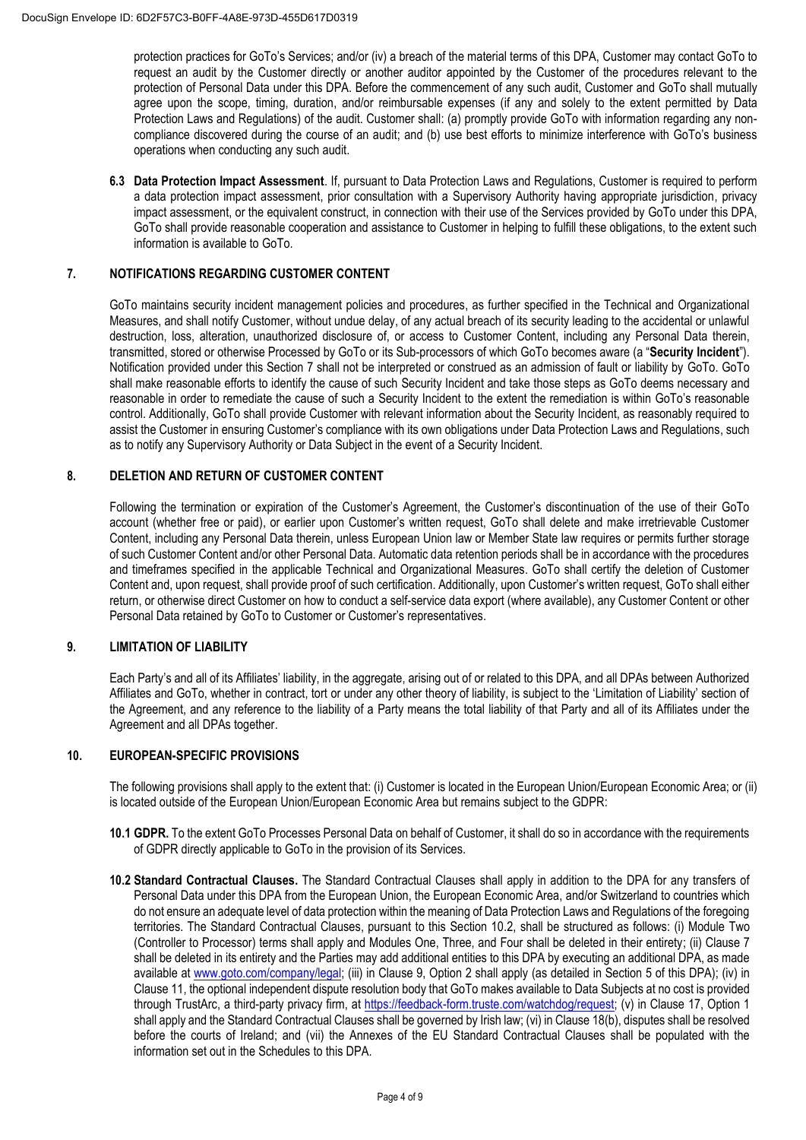protection practices for GoTo's Services; and/or (iv) a breach of the material terms of this DPA, Customer may contact GoTo to request an audit by the Customer directly or another auditor appointed by the Customer of the procedures relevant to the protection of Personal Data under this DPA. Before the commencement of any such audit, Customer and GoTo shall mutually agree upon the scope, timing, duration, and/or reimbursable expenses (if any and solely to the extent permitted by Data Protection Laws and Regulations) of the audit. Customer shall: (a) promptly provide GoTo with information regarding any noncompliance discovered during the course of an audit; and (b) use best efforts to minimize interference with GoTo's business operations when conducting any such audit.

**6.3 Data Protection Impact Assessment**. If, pursuant to Data Protection Laws and Regulations, Customer is required to perform a data protection impact assessment, prior consultation with a Supervisory Authority having appropriate jurisdiction, privacy impact assessment, or the equivalent construct, in connection with their use of the Services provided by GoTo under this DPA, GoTo shall provide reasonable cooperation and assistance to Customer in helping to fulfill these obligations, to the extent such information is available to GoTo.

## **7. NOTIFICATIONS REGARDING CUSTOMER CONTENT**

GoTo maintains security incident management policies and procedures, as further specified in the Technical and Organizational Measures, and shall notify Customer, without undue delay, of any actual breach of its security leading to the accidental or unlawful destruction, loss, alteration, unauthorized disclosure of, or access to Customer Content, including any Personal Data therein, transmitted, stored or otherwise Processed by GoTo or its Sub-processors of which GoTo becomes aware (a "**Security Incident**"). Notification provided under this Section 7 shall not be interpreted or construed as an admission of fault or liability by GoTo. GoTo shall make reasonable efforts to identify the cause of such Security Incident and take those steps as GoTo deems necessary and reasonable in order to remediate the cause of such a Security Incident to the extent the remediation is within GoTo's reasonable control. Additionally, GoTo shall provide Customer with relevant information about the Security Incident, as reasonably required to assist the Customer in ensuring Customer's compliance with its own obligations under Data Protection Laws and Regulations, such as to notify any Supervisory Authority or Data Subject in the event of a Security Incident.

## **8. DELETION AND RETURN OF CUSTOMER CONTENT**

Following the termination or expiration of the Customer's Agreement, the Customer's discontinuation of the use of their GoTo account (whether free or paid), or earlier upon Customer's written request, GoTo shall delete and make irretrievable Customer Content, including any Personal Data therein, unless European Union law or Member State law requires or permits further storage of such Customer Content and/or other Personal Data. Automatic data retention periods shall be in accordance with the procedures and timeframes specified in the applicable Technical and Organizational Measures. GoTo shall certify the deletion of Customer Content and, upon request, shall provide proof of such certification. Additionally, upon Customer's written request, GoTo shall either return, or otherwise direct Customer on how to conduct a self-service data export (where available), any Customer Content or other Personal Data retained by GoTo to Customer or Customer's representatives.

## **9. LIMITATION OF LIABILITY**

Each Party's and all of its Affiliates' liability, in the aggregate, arising out of or related to this DPA, and all DPAs between Authorized Affiliates and GoTo, whether in contract, tort or under any other theory of liability, is subject to the 'Limitation of Liability' section of the Agreement, and any reference to the liability of a Party means the total liability of that Party and all of its Affiliates under the Agreement and all DPAs together.

### **10. EUROPEAN-SPECIFIC PROVISIONS**

The following provisions shall apply to the extent that: (i) Customer is located in the European Union/European Economic Area; or (ii) is located outside of the European Union/European Economic Area but remains subject to the GDPR:

- **10.1 GDPR.** To the extent GoTo Processes Personal Data on behalf of Customer, it shall do so in accordance with the requirements of GDPR directly applicable to GoTo in the provision of its Services.
- **10.2 Standard Contractual Clauses.** The Standard Contractual Clauses shall apply in addition to the DPA for any transfers of Personal Data under this DPA from the European Union, the European Economic Area, and/or Switzerland to countries which do not ensure an adequate level of data protection within the meaning of Data Protection Laws and Regulations of the foregoing territories. The Standard Contractual Clauses, pursuant to this Section 10.2, shall be structured as follows: (i) Module Two (Controller to Processor) terms shall apply and Modules One, Three, and Four shall be deleted in their entirety; (ii) Clause 7 shall be deleted in its entirety and the Parties may add additional entities to this DPA by executing an additional DPA, as made available at [www.goto.com/company/legal;](http://www.goto.com/company/legal) (iii) in Clause 9, Option 2 shall apply (as detailed in Section 5 of this DPA); (iv) in Clause 11, the optional independent dispute resolution body that GoTo makes available to Data Subjects at no cost is provided through TrustArc, a third-party privacy firm, at [https://feedback-form.truste.com/watchdog/request;](https://feedback-form.truste.com/watchdog/request) (v) in Clause 17, Option 1 shall apply and the Standard Contractual Clauses shall be governed by Irish law; (vi) in Clause 18(b), disputes shall be resolved before the courts of Ireland; and (vii) the Annexes of the EU Standard Contractual Clauses shall be populated with the information set out in the Schedules to this DPA.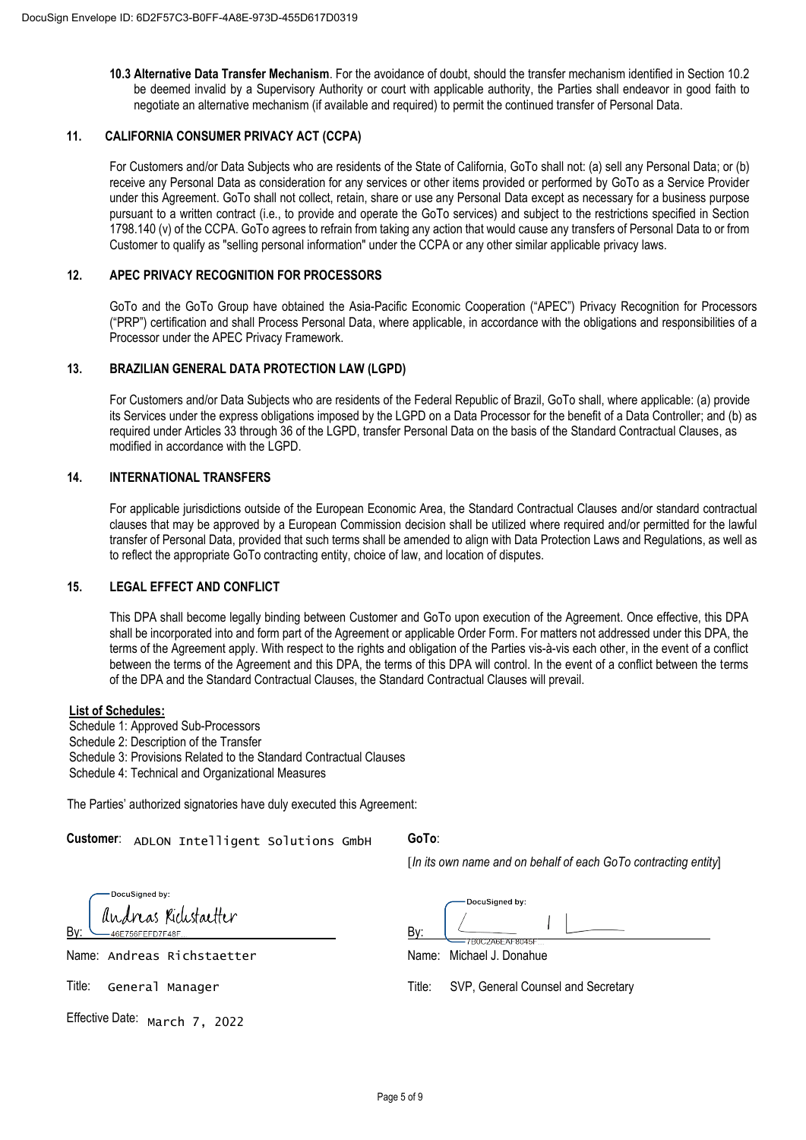**10.3 Alternative Data Transfer Mechanism**. For the avoidance of doubt, should the transfer mechanism identified in Section 10.2 be deemed invalid by a Supervisory Authority or court with applicable authority, the Parties shall endeavor in good faith to negotiate an alternative mechanism (if available and required) to permit the continued transfer of Personal Data.

## **11. CALIFORNIA CONSUMER PRIVACY ACT (CCPA)**

For Customers and/or Data Subjects who are residents of the State of California, GoTo shall not: (a) sell any Personal Data; or (b) receive any Personal Data as consideration for any services or other items provided or performed by GoTo as a Service Provider under this Agreement. GoTo shall not collect, retain, share or use any Personal Data except as necessary for a business purpose pursuant to a written contract (i.e., to provide and operate the GoTo services) and subject to the restrictions specified in Section 1798.140 (v) of the CCPA. GoTo agrees to refrain from taking any action that would cause any transfers of Personal Data to or from Customer to qualify as "selling personal information" under the CCPA or any other similar applicable privacy laws.

## **12. APEC PRIVACY RECOGNITION FOR PROCESSORS**

GoTo and the GoTo Group have obtained the Asia-Pacific Economic Cooperation ("APEC") Privacy Recognition for Processors ("PRP") certification and shall Process Personal Data, where applicable, in accordance with the obligations and responsibilities of a Processor under the APEC Privacy Framework.

## **13. BRAZILIAN GENERAL DATA PROTECTION LAW (LGPD)**

For Customers and/or Data Subjects who are residents of the Federal Republic of Brazil, GoTo shall, where applicable: (a) provide its Services under the express obligations imposed by the LGPD on a Data Processor for the benefit of a Data Controller; and (b) as required under Articles 33 through 36 of the LGPD, transfer Personal Data on the basis of the Standard Contractual Clauses, as modified in accordance with the LGPD.

## **14. INTERNATIONAL TRANSFERS**

For applicable jurisdictions outside of the European Economic Area, the Standard Contractual Clauses and/or standard contractual clauses that may be approved by a European Commission decision shall be utilized where required and/or permitted for the lawful transfer of Personal Data, provided that such terms shall be amended to align with Data Protection Laws and Regulations, as well as to reflect the appropriate GoTo contracting entity, choice of law, and location of disputes.

## **15. LEGAL EFFECT AND CONFLICT**

This DPA shall become legally binding between Customer and GoTo upon execution of the Agreement. Once effective, this DPA shall be incorporated into and form part of the Agreement or applicable Order Form. For matters not addressed under this DPA, the terms of the Agreement apply. With respect to the rights and obligation of the Parties vis-à-vis each other, in the event of a conflict between the terms of the Agreement and this DPA, the terms of this DPA will control. In the event of a conflict between the terms of the DPA and the Standard Contractual Clauses, the Standard Contractual Clauses will prevail.

#### **List of Schedules:**

Schedule 1: Approved Sub-Processors

Schedule 2: Description of the Transfer

Schedule 3: Provisions Related to the Standard Contractual Clauses

Schedule 4: Technical and Organizational Measures

The Parties' authorized signatories have duly executed this Agreement:

Customer: ADLON Intelligent Solutions GmbH

# **GoTo**:

By:

[*In its own name and on behalf of each GoTo contracting entity*]

|                                     |  | OMer ADLON Intelligent Solutions GmbH |  |  |  |  |
|-------------------------------------|--|---------------------------------------|--|--|--|--|
|                                     |  |                                       |  |  |  |  |
| DocuSigned by:                      |  |                                       |  |  |  |  |
| 46E756FEFD7F48F                     |  | andreas Richstaetter                  |  |  |  |  |
|                                     |  | e Andreas Richstaetter                |  |  |  |  |
|                                     |  | General Manager :                     |  |  |  |  |
| tive Date: <sub>March</sub> 7, 2022 |  |                                       |  |  |  |  |

Name: Andreas Richstaetter

Title: General Manager

By:

Title: SVP, General Counsel and Secretary

EUL JARE VERUT

DocuSianed by:

Name: Michael J. Donahue

Effective Date: March 7, 2022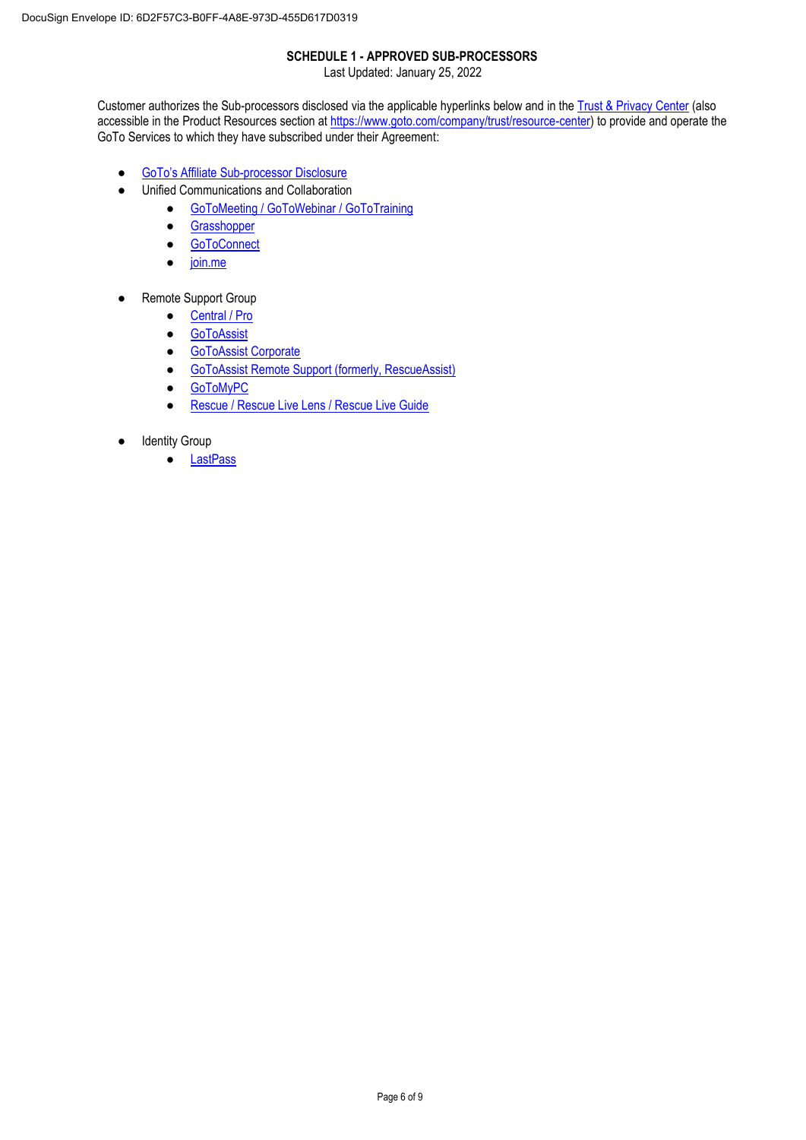# **SCHEDULE 1 - APPROVED SUB-PROCESSORS**

Last Updated: January 25, 2022

Customer authorizes the Sub-processors disclosed via the applicable hyperlinks below and in the [Trust & Privacy Center](https://www.goto.com/companytrust) (also accessible in the Product Resources section at [https://www.goto.com/company/trust/resource-center\)](https://www.goto.com/company/trust/resource-center) to provide and operate the GoTo Services to which they have subscribed under their Agreement:

- GoTo's Affiliate [Sub-processor Disclosure](https://logmeincdn.azureedge.net/legal/goto-affiliates-list.pdf)
- Unified Communications and Collaboration
	- [GoToMeeting / GoToWebinar / GoToTraining](https://logmeincdn.azureedge.net/legal/GTM-GTW-GTT_Subprocessor-List.pdf)
	- [Grasshopper](https://logmeincdn.azureedge.net/legal/Grasshopper-Subprocessor-List.pdf)
	- [GoToConnect](https://logmeincdn.azureedge.net/legal/gotoconnect-subprocessor-list.pdf)
	- [join.me](https://logmeincdn.azureedge.net/legal/join.me-Subprocessor-List.pdf)
- Remote Support Group
	- [Central / Pro](https://logmeincdn.azureedge.net/legal/Central-Pro-Hamachi-Subprocessor-List.pdf)
	- [GoToAssist](https://logmeincdn.azureedge.net/legal/GoToAssist-v4_Subprocessor_List.pdf)
	- **[GoToAssist Corporate](https://logmeincdn.azureedge.net/legal/GoToAssist-Corporate-Subprocessor-List.pdf)**
	- [GoToAssist Remote Support \(formerly, RescueAssist\)](https://logmeincdn.azureedge.net/legal/GTARS-v5_fka_RescueAssist_Sub-Processor_List.pdf)
	- [GoToMyPC](https://logmeincdn.azureedge.net/legal/GoToMyPC-Subprocessor-List.pdf)
	- [Rescue / Rescue Live Lens / Rescue Live Guide](https://logmeincdn.azureedge.net/legal/Rescue_incl-Live-Guide-and-Live-Lens_Sub-Processor_List.pdf)
- Identity Group
	- [LastPass](https://logmeincdn.azureedge.net/legal/LastPass-Subprocessor-list.pdf)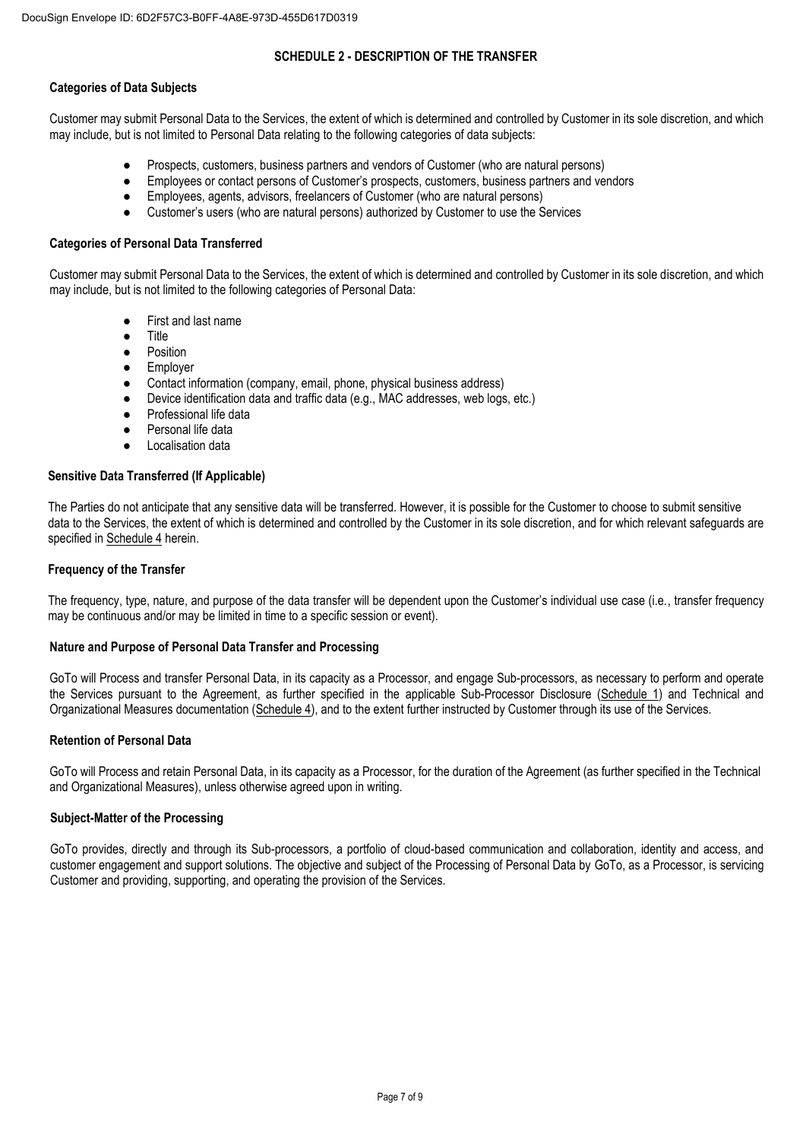### **SCHEDULE 2 - DESCRIPTION OF THE TRANSFER**

## **Categories of Data Subjects**

Customer may submit Personal Data to the Services, the extent of which is determined and controlled by Customer in its sole discretion, and which may include, but is not limited to Personal Data relating to the following categories of data subjects:

- Prospects, customers, business partners and vendors of Customer (who are natural persons)
- Employees or contact persons of Customer's prospects, customers, business partners and vendors
- Employees, agents, advisors, freelancers of Customer (who are natural persons)
- Customer's users (who are natural persons) authorized by Customer to use the Services

## **Categories of Personal Data Transferred**

Customer may submit Personal Data to the Services, the extent of which is determined and controlled by Customer in its sole discretion, and which may include, but is not limited to the following categories of Personal Data:

- First and last name
- Title
- Position
- Employer
- Contact information (company, email, phone, physical business address)
- Device identification data and traffic data (e.g., MAC addresses, web logs, etc.)
- Professional life data
- Personal life data
- **Localisation data**

### **Sensitive Data Transferred (If Applicable)**

The Parties do not anticipate that any sensitive data will be transferred. However, it is possible for the Customer to choose to submit sensitive data to the Services, the extent of which is determined and controlled by the Customer in its sole discretion, and for which relevant safeguards are specified in Schedule 4 herein.

#### **Frequency of the Transfer**

The frequency, type, nature, and purpose of the data transfer will be dependent upon the Customer's individual use case (i.e., transfer frequency may be continuous and/or may be limited in time to a specific session or event).

### **Nature and Purpose of Personal Data Transfer and Processing**

GoTo will Process and transfer Personal Data, in its capacity as a Processor, and engage Sub-processors, as necessary to perform and operate the Services pursuant to the Agreement, as further specified in the applicable Sub-Processor Disclosure (Schedule 1) and Technical and Organizational Measures documentation (Schedule 4), and to the extent further instructed by Customer through its use of the Services.

### **Retention of Personal Data**

GoTo will Process and retain Personal Data, in its capacity as a Processor, for the duration of the Agreement (as further specified in the Technical and Organizational Measures), unless otherwise agreed upon in writing.

### **Subject-Matter of the Processing**

GoTo provides, directly and through its Sub-processors, a portfolio of cloud-based communication and collaboration, identity and access, and customer engagement and support solutions. The objective and subject of the Processing of Personal Data by GoTo, as a Processor, is servicing Customer and providing, supporting, and operating the provision of the Services.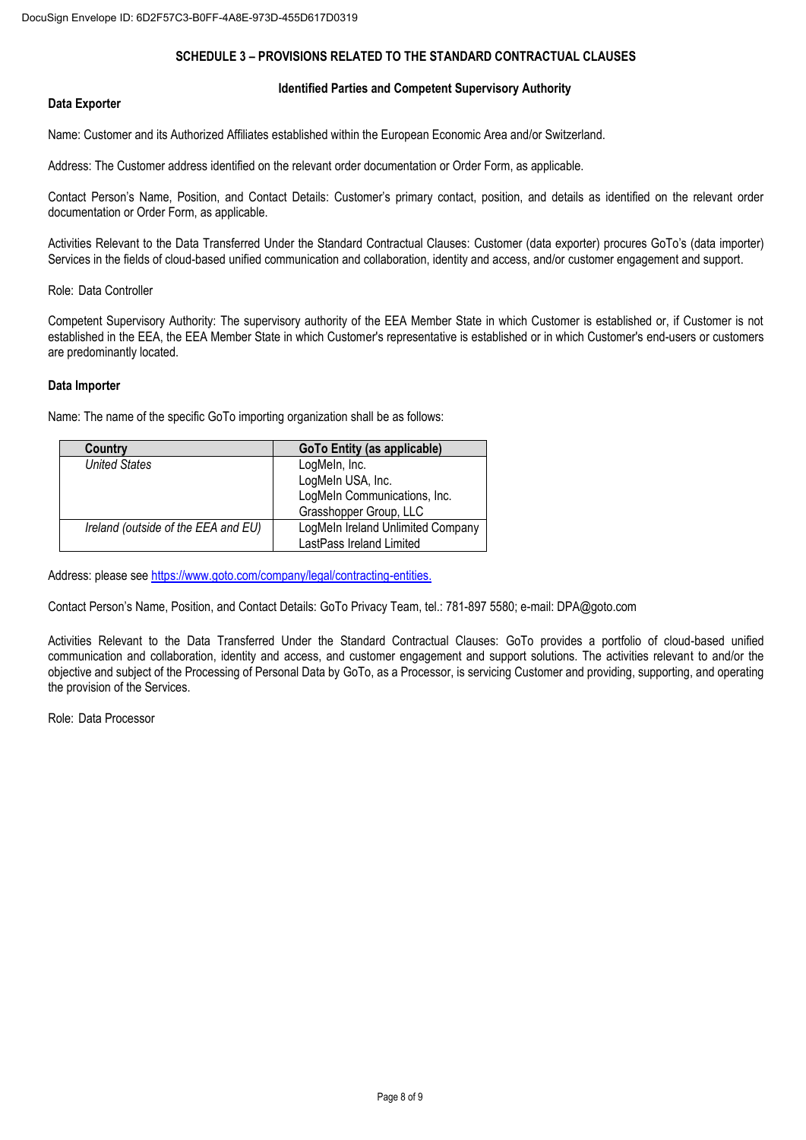## **SCHEDULE 3 – PROVISIONS RELATED TO THE STANDARD CONTRACTUAL CLAUSES**

#### **Identified Parties and Competent Supervisory Authority**

## **Data Exporter**

Name: Customer and its Authorized Affiliates established within the European Economic Area and/or Switzerland.

Address: The Customer address identified on the relevant order documentation or Order Form, as applicable.

Contact Person's Name, Position, and Contact Details: Customer's primary contact, position, and details as identified on the relevant order documentation or Order Form, as applicable.

Activities Relevant to the Data Transferred Under the Standard Contractual Clauses: Customer (data exporter) procures GoTo's (data importer) Services in the fields of cloud-based unified communication and collaboration, identity and access, and/or customer engagement and support.

Role: Data Controller

Competent Supervisory Authority: The supervisory authority of the EEA Member State in which Customer is established or, if Customer is not established in the EEA, the EEA Member State in which Customer's representative is established or in which Customer's end-users or customers are predominantly located.

#### **Data Importer**

Name: The name of the specific GoTo importing organization shall be as follows:

| Country                             | <b>GoTo Entity (as applicable)</b> |  |
|-------------------------------------|------------------------------------|--|
| <b>United States</b>                | LogMeln, Inc.                      |  |
|                                     | LogMeln USA, Inc.                  |  |
|                                     | LogMeIn Communications, Inc.       |  |
|                                     | Grasshopper Group, LLC             |  |
| Ireland (outside of the EEA and EU) | LogMeIn Ireland Unlimited Company  |  |
|                                     | LastPass Ireland Limited           |  |

Address: please see [https://www.goto.com/company/legal/contracting-entities.](https://www.goto.com/company/legal/contracting-entities)

Contact Person's Name, Position, and Contact Details: GoTo Privacy Team, tel.: 781-897 5580; e-mail: DPA@goto.com

Activities Relevant to the Data Transferred Under the Standard Contractual Clauses: GoTo provides a portfolio of cloud-based unified communication and collaboration, identity and access, and customer engagement and support solutions. The activities relevant to and/or the objective and subject of the Processing of Personal Data by GoTo, as a Processor, is servicing Customer and providing, supporting, and operating the provision of the Services.

Role: Data Processor